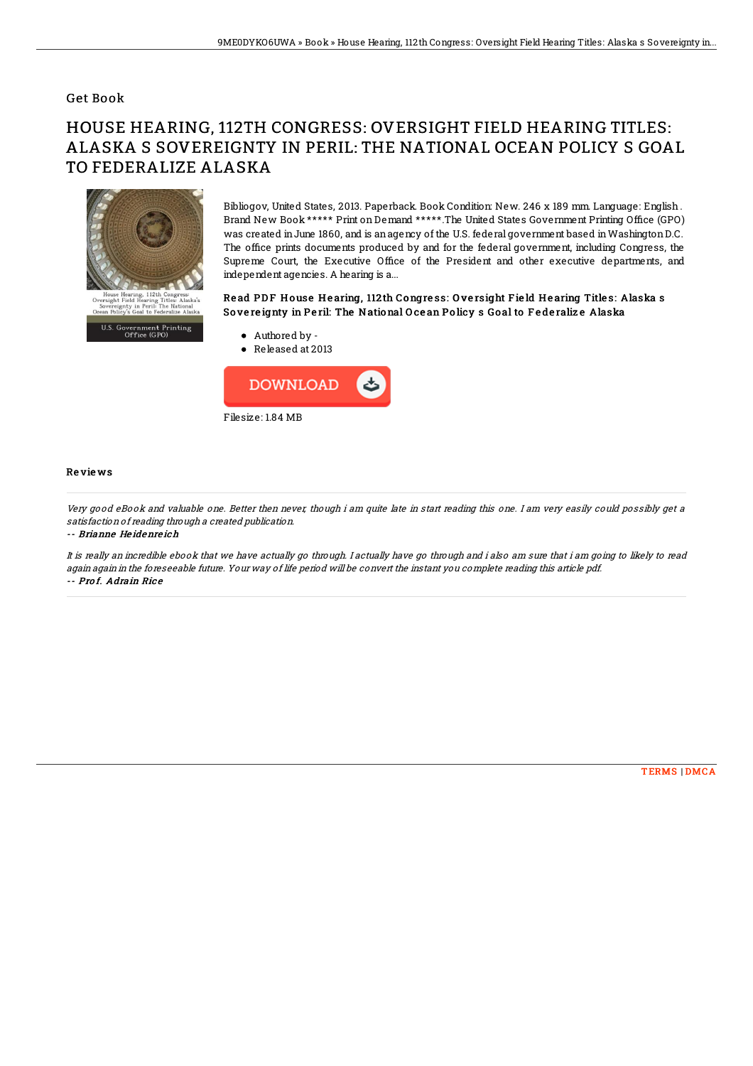### Get Book

# HOUSE HEARING, 112TH CONGRESS: OVERSIGHT FIELD HEARING TITLES: ALASKA S SOVEREIGNTY IN PERIL: THE NATIONAL OCEAN POLICY S GOAL TO FEDERALIZE ALASKA



Bibliogov, United States, 2013. Paperback. Book Condition: New. 246 x 189 mm. Language: English . Brand New Book \*\*\*\*\* Print on Demand \*\*\*\*\*. The United States Government Printing Office (GPO) was created inJune 1860, and is anagency of the U.S. federal government based inWashingtonD.C. The office prints documents produced by and for the federal government, including Congress, the Supreme Court, the Executive Office of the President and other executive departments, and independent agencies. A hearing is a...

#### Read PDF House Hearing, 112th Congress: Oversight Field Hearing Titles: Alaska s So ve re ignty in Pe ril: The National O ce an Po licy s Go al to F e de raliz e Alaska

- U.S. Government Printing<br>Office (GPO)
- Authored by Released at 2013



#### Re vie ws

Very good eBook and valuable one. Better then never, though i am quite late in start reading this one. I am very easily could possibly get <sup>a</sup> satisfaction of reading through <sup>a</sup> created publication.

-- Brianne He idenre ich

It is really an incredible ebook that we have actually go through. I actually have go through and i also am sure that i am going to likely to read again again in the foreseeable future. Your way of life period will be convert the instant you complete reading this article pdf. -- Prof. Adrain Rice